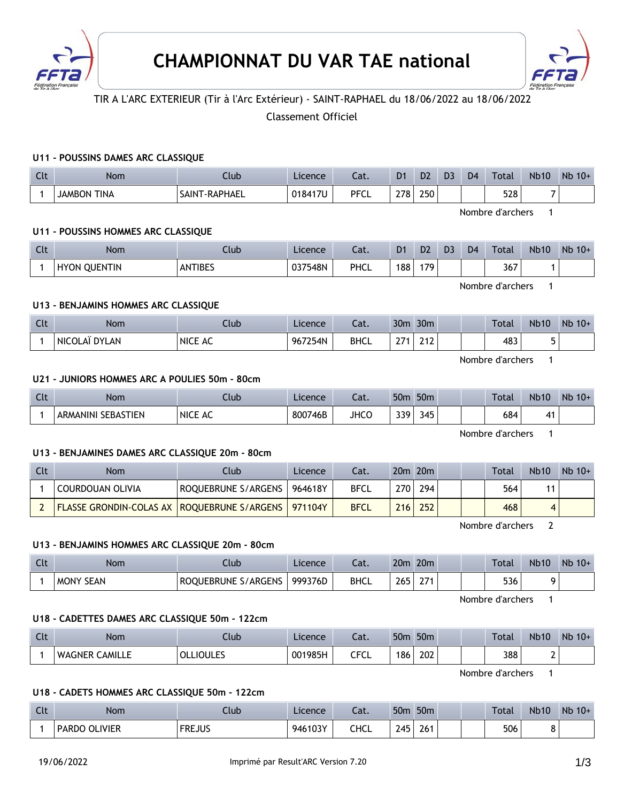



# TIR A L'ARC EXTERIEUR (Tir à l'Arc Extérieur) - SAINT-RAPHAEL du 18/06/2022 au 18/06/2022

# Classement Officiel

### **U11 - POUSSINS DAMES ARC CLASSIQUE**

| Clt | <b>Nom</b>         | Club                      | Licence | $\sim$<br>cal.     | D <sub>1</sub> | D <sub>2</sub> | D <sub>3</sub> | D <sub>4</sub> | Total | <b>Nb10</b> | Nb<br>$10+$ |
|-----|--------------------|---------------------------|---------|--------------------|----------------|----------------|----------------|----------------|-------|-------------|-------------|
|     | <b>JAMBON TINA</b> | <b>T-RAPHAEL</b><br>SAINT | 018417U | <b>PFCI</b><br>ືບພ | 278            | 250            |                |                | 528   | $\sim$      |             |

Nombre d'archers 1

### **U11 - POUSSINS HOMMES ARC CLASSIQUE**

| Clt | <b>Nom</b>             | Jub            | Licence | $\sim$<br>cal. | D <sub>1</sub> | D <sub>2</sub> | D <sub>3</sub> | D <sub>4</sub> | Total      | <b>Nb10</b> | Nb<br>$10+$ |
|-----|------------------------|----------------|---------|----------------|----------------|----------------|----------------|----------------|------------|-------------|-------------|
|     | <b>QUENTIN</b><br>HYON | <b>ANTIBES</b> | 037548N | PHCL           | 88             | 179            |                |                | 367<br>- - |             |             |

Nombre d'archers 1

# **U13 - BENJAMINS HOMMES ARC CLASSIQUE**

| Clt | <b>Nom</b>    | Club    | Licence | $-$<br>caι. | 30 <sub>m</sub> | 30 <sub>m</sub>      |  | <b>Total</b> | <b>Nb10</b> | Nb<br>$10+$ |
|-----|---------------|---------|---------|-------------|-----------------|----------------------|--|--------------|-------------|-------------|
|     | NICOLAÏ DYLAN | NICE AC | 967254N | <b>BHCL</b> | $\sim$          | 242<br><u> ∠ i ∠</u> |  | 483          |             |             |

Nombre d'archers 1

# **U21 - JUNIORS HOMMES ARC A POULIES 50m - 80cm**

| $C1+$<br>$\overline{\phantom{a}}$ | <b>Nom</b>                     | .lub    | Licence | $\sim$<br>-al. | 50n         | 50 <sub>m</sub>                              |  | Total | <b>Nb10</b> | Nb<br>$10+$ |
|-----------------------------------|--------------------------------|---------|---------|----------------|-------------|----------------------------------------------|--|-------|-------------|-------------|
|                                   | <b>SEBASTIEN</b><br>ARMANINI S | NICE AC | 800746B | JHCC           | ววด<br>JJ 1 | $\overline{ }$<br>$\mathbf{A}^{\star}$<br>τυ |  | 684   | <b>4.</b>   |             |

Nombre d'archers 1

### **U13 - BENJAMINES DAMES ARC CLASSIQUE 20m - 80cm**

| Clt | Nom                                           | Club-               | Licence | ۵t.         |     | $20m$ $20m$ |  | Total | <b>Nb10</b> | $Nb$ 10+ |
|-----|-----------------------------------------------|---------------------|---------|-------------|-----|-------------|--|-------|-------------|----------|
|     | COURDOUAN OLIVIA                              | ROQUEBRUNE S/ARGENS | 964618Y | <b>BFCL</b> | 270 | 294         |  | 564   |             |          |
|     | FLASSE GRONDIN-COLAS AX   ROQUEBRUNE S/ARGENS |                     | 971104Y | <b>BFCL</b> | 216 | 252         |  | 468   |             |          |

Nombre d'archers 2

#### **U13 - BENJAMINS HOMMES ARC CLASSIQUE 20m - 80cm**

| <b>Clt</b> | Nom                 | Llub.                      | Licence | - - 1<br>cal. | 20 <sub>m</sub> | 20 <sub>m</sub> |  | <b>Total</b> | <b>Nb10</b> | Nb<br>$10+$ |
|------------|---------------------|----------------------------|---------|---------------|-----------------|-----------------|--|--------------|-------------|-------------|
|            | <b>MONY</b><br>SEAN | S/ARGENS<br>OUEBRUNE<br>RO | 999376D | <b>BHCL</b>   | 265             | $\sim$ $-$      |  | 536          |             |             |

Nombre d'archers 1

### **U18 - CADETTES DAMES ARC CLASSIQUE 50m - 122cm**

| $\sim$<br><b>CLL</b> | Nom                      | .lub                | Licence | $\sim$<br>Cdl.                 | 50 <sub>m</sub> | 50 <sub>m</sub> |  | Total | <b>Nb10</b> | <b>Nb</b><br>$10+$ |
|----------------------|--------------------------|---------------------|---------|--------------------------------|-----------------|-----------------|--|-------|-------------|--------------------|
|                      | <b>CAMILLE</b><br>WAGNER | <b>IOULES</b><br>OL | 001985H | $\epsilon$ r $\epsilon$<br>ピレー | 186             | 202             |  | 388   | -           |                    |

Nombre d'archers 1

#### **U18 - CADETS HOMMES ARC CLASSIQUE 50m - 122cm**

| Clt | Nom                  | Ilub          | Licence | Lat.        | 50 <sub>m</sub> | 50 <sub>m</sub> |  | <b>Total</b> | <b>Nb10</b> | Nb<br>$10+$ |
|-----|----------------------|---------------|---------|-------------|-----------------|-----------------|--|--------------|-------------|-------------|
|     | <b>PARDO OLIVIER</b> | <b>FREJUS</b> | 946103Y | <b>CHCL</b> | 245             | 261             |  | 506          |             |             |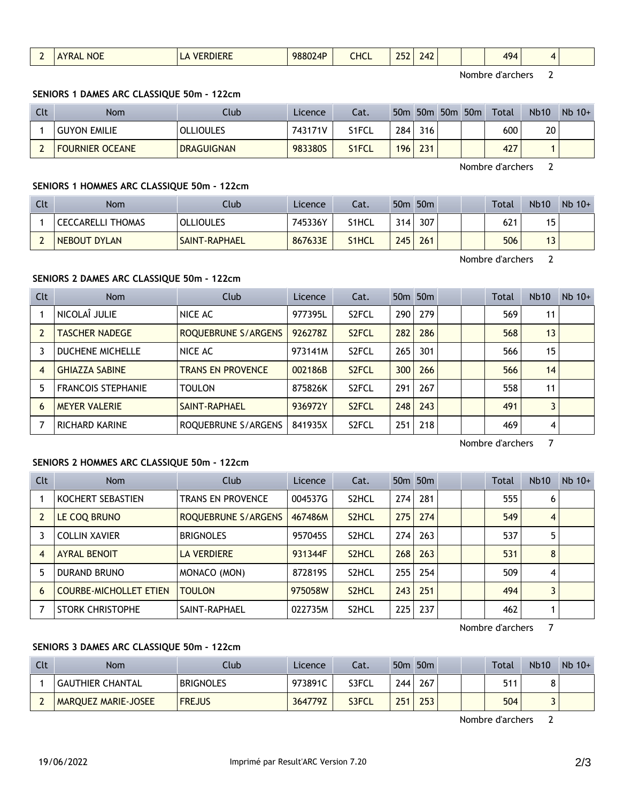|  |  | $\sim$ $-$<br><b>NOL</b><br>, , , | $-$ | 988024P | <b>HCL</b><br>___ | 20<br>$\gamma$<br>$- -$<br>____ | <i>' Д</i> |  |  | 494<br>$\cdot$<br>and the contract of the con- | $\mathbf{A}$ |  |
|--|--|-----------------------------------|-----|---------|-------------------|---------------------------------|------------|--|--|------------------------------------------------|--------------|--|
|--|--|-----------------------------------|-----|---------|-------------------|---------------------------------|------------|--|--|------------------------------------------------|--------------|--|

Nombre d'archers 2

### **SENIORS 1 DAMES ARC CLASSIQUE 50m - 122cm**

| Clt                      | Nom                    | Club              | Licence | Cat.  | 50 <sub>m</sub> | 50 <sub>m</sub> | 50 <sub>m</sub> 50 <sub>m</sub> | Total | <b>Nb10</b> | $Nb$ 10+ |
|--------------------------|------------------------|-------------------|---------|-------|-----------------|-----------------|---------------------------------|-------|-------------|----------|
|                          | <b>GUYON EMILIE</b>    | <b>OLLIOULES</b>  | 743171V | S1FCL | 284             | 316             |                                 | 600   | 20          |          |
| $\overline{\phantom{0}}$ | <b>FOURNIER OCEANE</b> | <b>DRAGUIGNAN</b> | 983380S | S1FCL | 196             | 231             |                                 | 427   |             |          |

Nombre d'archers 2

# **SENIORS 1 HOMMES ARC CLASSIQUE 50m - 122cm**

| Clt | <b>Nom</b>               | Club                 | Licence | Cat.               |     | 50 <sub>m</sub> 50 <sub>m</sub> |  | Total | <b>Nb10</b>       | $Nb$ 10+ |
|-----|--------------------------|----------------------|---------|--------------------|-----|---------------------------------|--|-------|-------------------|----------|
|     | <b>CECCARELLI THOMAS</b> | <b>OLLIOULES</b>     | 745336Y | S1HCL              | 314 | 307                             |  | 621   | 5                 |          |
|     | NEBOUT DYLAN             | <b>SAINT-RAPHAEL</b> | 867633E | S <sub>1</sub> HCL | 245 | 261                             |  | 506   | ∍<br>$\mathsf{D}$ |          |

Nombre d'archers 2

# **SENIORS 2 DAMES ARC CLASSIQUE 50m - 122cm**

| Clt | <b>Nom</b>                | Club                     | Licence | Cat.               |     | 50 <sub>m</sub> 50 <sub>m</sub> |  | <b>Total</b> | <b>Nb10</b> | $Nb$ 10+ |
|-----|---------------------------|--------------------------|---------|--------------------|-----|---------------------------------|--|--------------|-------------|----------|
|     | NICOLAÎ JULIE             | NICE AC                  | 977395L | S <sub>2</sub> FCL | 290 | 279                             |  | 569          | 11          |          |
|     | <b>TASCHER NADEGE</b>     | ROQUEBRUNE S/ARGENS      | 926278Z | S <sub>2</sub> FCL | 282 | 286                             |  | 568          | 13          |          |
| 3   | <b>DUCHENE MICHELLE</b>   | NICE AC                  | 973141M | S <sub>2</sub> FCL | 265 | 301                             |  | 566          | 15          |          |
| 4   | <b>GHIAZZA SABINE</b>     | <b>TRANS EN PROVENCE</b> | 002186B | S <sub>2</sub> FCL | 300 | 266                             |  | 566          | 14          |          |
| 5   | <b>FRANCOIS STEPHANIE</b> | <b>TOULON</b>            | 875826K | S <sub>2</sub> FCL | 291 | 267                             |  | 558          | 11          |          |
| 6   | <b>MEYER VALERIE</b>      | SAINT-RAPHAEL            | 936972Y | S <sub>2</sub> FCL | 248 | 243                             |  | 491          |             |          |
|     | <b>RICHARD KARINE</b>     | ROQUEBRUNE S/ARGENS      | 841935X | S <sub>2</sub> FCL | 251 | 218                             |  | 469          | 4           |          |

Nombre d'archers 7

# **SENIORS 2 HOMMES ARC CLASSIQUE 50m - 122cm**

| <b>Clt</b> | <b>Nom</b>                    | Club                | Licence | Cat.               |     | 50 <sub>m</sub> 50 <sub>m</sub> |  | <b>Total</b> | <b>Nb10</b> | $Nb$ 10+ |
|------------|-------------------------------|---------------------|---------|--------------------|-----|---------------------------------|--|--------------|-------------|----------|
|            | KOCHERT SEBASTIEN             | TRANS EN PROVENCE   | 004537G | S <sub>2</sub> HCL | 274 | 281                             |  | 555          | 6           |          |
|            | LE COQ BRUNO                  | ROQUEBRUNE S/ARGENS | 467486M | S <sub>2</sub> HCL | 275 | 274                             |  | 549          | 4           |          |
|            | <b>COLLIN XAVIER</b>          | <b>BRIGNOLES</b>    | 957045S | S <sub>2</sub> HCL | 274 | 263                             |  | 537          | 5           |          |
| 4          | <b>AYRAL BENOIT</b>           | <b>LA VERDIERE</b>  | 931344F | S <sub>2</sub> HCL | 268 | 263                             |  | 531          | 8           |          |
| 5          | <b>DURAND BRUNO</b>           | MONACO (MON)        | 8728195 | S <sub>2</sub> HCL | 255 | 254                             |  | 509          | 4           |          |
| 6          | <b>COURBE-MICHOLLET ETIEN</b> | <b>TOULON</b>       | 975058W | S <sub>2</sub> HCL | 243 | 251                             |  | 494          | 3           |          |
|            | STORK CHRISTOPHE              | SAINT-RAPHAEL       | 022735M | S <sub>2</sub> HCL | 225 | 237                             |  | 462          |             |          |

Nombre d'archers 7

# **SENIORS 3 DAMES ARC CLASSIQUE 50m - 122cm**

| Clt | <b>Nom</b>                 | Club             | Licence | Cat.  |     | 50m 50m |  | <b>Total</b> | <b>Nb10</b> | $Nb$ 10+ |
|-----|----------------------------|------------------|---------|-------|-----|---------|--|--------------|-------------|----------|
|     | <b>GAUTHIER CHANTAL</b>    | <b>BRIGNOLES</b> | 973891C | S3FCL | 244 | 267     |  | 511          |             |          |
|     | <b>MARQUEZ MARIE-JOSEE</b> | <b>FREJUS</b>    | 364779Z | S3FCL | 251 | 253     |  | 504          |             |          |

Nombre d'archers 2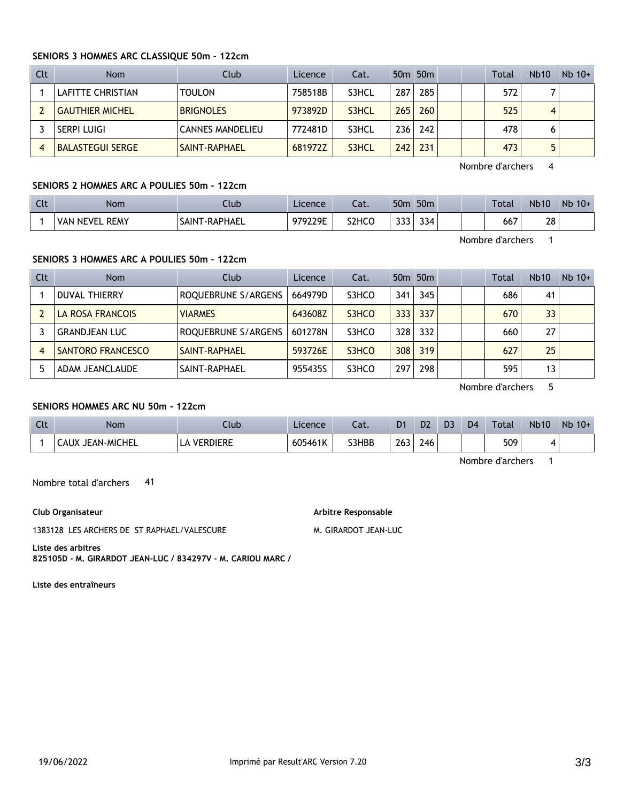### **SENIORS 3 HOMMES ARC CLASSIQUE 50m - 122cm**

| Clt | <b>Nom</b>              | Club                    | Licence | Cat.  |     | 50 <sub>m</sub> 50 <sub>m</sub> |  | Total | <b>Nb10</b> | $Nb$ 10+ |
|-----|-------------------------|-------------------------|---------|-------|-----|---------------------------------|--|-------|-------------|----------|
|     | LAFITTE CHRISTIAN       | <b>TOULON</b>           | 758518B | S3HCL | 287 | 285                             |  | 572   |             |          |
|     | <b>GAUTHIER MICHEL</b>  | <b>BRIGNOLES</b>        | 973892D | S3HCL | 265 | 260                             |  | 525   | 4           |          |
|     | SERPI LUIGI             | <b>CANNES MANDELIEU</b> | 772481D | S3HCL | 236 | 242                             |  | 478   | 6           |          |
|     | <b>BALASTEGUI SERGE</b> | SAINT-RAPHAEL           | 681972Z | S3HCL | 242 | 231                             |  | 473   |             |          |

Nombre d'archers 4

# **SENIORS 2 HOMMES ARC A POULIES 50m - 122cm**

| $\Gamma$<br>$\sim$ | <b>Nom</b>               | Llub                            | Licence | $\sim$<br>-al.                 | 50 <sub>m</sub> | 50 <sub>m</sub> |  | <b>Total</b> | <b>Nb10</b> | Nb<br>$10+$ |
|--------------------|--------------------------|---------------------------------|---------|--------------------------------|-----------------|-----------------|--|--------------|-------------|-------------|
|                    | <b>REMY</b><br>VAN NEVEL | <b>T-RAPHAEL</b><br><b>AINT</b> | 979229E | S <sub>2</sub> HC <sub>O</sub> | $\sim$<br>JJJ   | 334             |  | 667          | ററ<br>20    |             |

Nombre d'archers 1

# **SENIORS 3 HOMMES ARC A POULIES 50m - 122cm**

| Clt | <b>Nom</b>           | Club                | Licence | Cat.  |      | 50 <sub>m</sub> 50 <sub>m</sub> |  | Total | <b>Nb10</b> | $Nb$ 10+ |
|-----|----------------------|---------------------|---------|-------|------|---------------------------------|--|-------|-------------|----------|
|     | DUVAL THIERRY        | ROQUEBRUNE S/ARGENS | 664979D | S3HCO | 341  | 345                             |  | 686   | 41          |          |
|     | LA ROSA FRANCOIS     | <b>VIARMES</b>      | 643608Z | S3HCO | 3331 | 337                             |  | 670   | 33          |          |
|     | <b>GRANDJEAN LUC</b> | ROQUEBRUNE S/ARGENS | 601278N | S3HCO | 328  | 332                             |  | 660   | 27          |          |
| 4   | SANTORO FRANCESCO    | SAINT-RAPHAEL       | 593726E | S3HCO | 308  | 319                             |  | 627   | 25          |          |
|     | ADAM JEANCLAUDE      | SAINT-RAPHAEL       | 955435S | S3HCO | 297  | 298                             |  | 595   | 13          |          |

Nombre d'archers 5

# **SENIORS HOMMES ARC NU 50m - 122cm**

| $\mathsf{C}$<br>นเ | Nom           | Ilub         | Licence | Lat.  | D <sub>1</sub> | D <sub>2</sub> | D <sub>3</sub> | D <sub>4</sub> | <b>Total</b> | <b>Nb10</b> | Nb<br>$10+$ |
|--------------------|---------------|--------------|---------|-------|----------------|----------------|----------------|----------------|--------------|-------------|-------------|
|                    | ' JEAN-MICHEL | :RDIERE<br>◡ | 605461K | S3HBB | 263            | 246            |                |                | 509          | 4           |             |

Nombre d'archers 1

Nombre total d'archers 41

**Club Organisateur**

1383128 LES ARCHERS DE ST RAPHAEL/VALESCURE

**Arbitre Responsable** 

M. GIRARDOT JEAN-LUC

**Liste des arbitres 825105D - M. GIRARDOT JEAN-LUC / 834297V - M. CARIOU MARC /** 

**Liste des entraîneurs**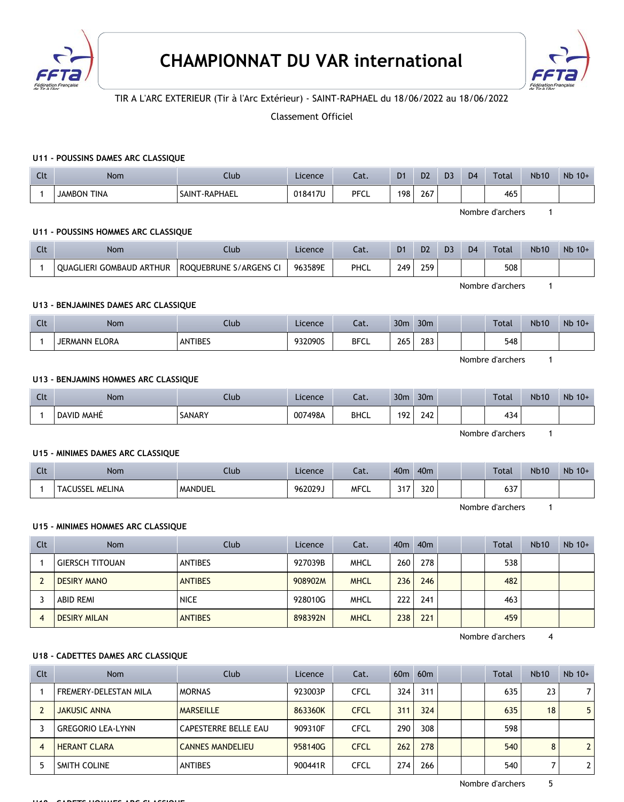



# TIR A L'ARC EXTERIEUR (Tir à l'Arc Extérieur) - SAINT-RAPHAEL du 18/06/2022 au 18/06/2022

### Classement Officiel

#### **U11 - POUSSINS DAMES ARC CLASSIQUE**

| $\sim$<br>r c | Nom                   | Jlub               | Licence | Cat.        | D1  | D <sub>2</sub> | D <sub>3</sub> | D <sub>4</sub> | Total | <b>Nb10</b> | Nb 10+ |
|---------------|-----------------------|--------------------|---------|-------------|-----|----------------|----------------|----------------|-------|-------------|--------|
|               | TINA<br><b>JAMBON</b> | T-RAPHAEL<br>SAINT | 018417U | <b>PFCL</b> | 198 | 267            |                |                | 465   |             |        |

Nombre d'archers 1

#### **U11 - POUSSINS HOMMES ARC CLASSIQUE**

| Clt | Nom                                | Club                   | Licence | Cat. | D <sub>1</sub> | D <sub>2</sub> | D <sub>3</sub> | D <sub>4</sub> | Total | <b>Nb10</b> | $Nb$ 10+ |
|-----|------------------------------------|------------------------|---------|------|----------------|----------------|----------------|----------------|-------|-------------|----------|
|     | ARTHUR<br><b>OUAGLIERI GOMBAUD</b> | ROOUEBRUNE S/ARGENS CI | 963589E | PHCL | 249            | 259            |                |                | 508   |             |          |

### **U13 - BENJAMINES DAMES ARC CLASSIQUE**

| $\sim$<br><b>UU</b> | Nom           | Llub           | Licence | Cat.        | 30 <sub>m</sub> | 30 <sub>m</sub> |  | Total | <b>Nb10</b> | Nb 10+ |
|---------------------|---------------|----------------|---------|-------------|-----------------|-----------------|--|-------|-------------|--------|
|                     | JERMANN ELORA | <b>ANTIBES</b> | 932090S | <b>BFCL</b> | 265<br>$\sim$   | 283             |  | 548   |             |        |

Nombre d'archers 1

Nombre d'archers 1

#### **U13 - BENJAMINS HOMMES ARC CLASSIQUE**

| Clt | Nom        | Llub   | Licence | ۰.,<br>cal. | 30 <sub>m</sub>                               | 30 <sub>m</sub> |  | <b>Total</b> | <b>Nb10</b> | Nb 10+ |
|-----|------------|--------|---------|-------------|-----------------------------------------------|-----------------|--|--------------|-------------|--------|
|     | DAVID MAHE | SANARY | 007498A | <b>BHCL</b> | 197<br>.<br>the control of the control of the | 2.42<br>24 Z    |  | 434          |             |        |

Nombre d'archers 1

#### **U15 - MINIMES DAMES ARC CLASSIQUE**

| Clt | Nom                    | Llub    | Licence | $\sim$<br>cal. | 40m          | 40 <sub>m</sub> |  | Total         | <b>Nb10</b> | Nb 10+ |
|-----|------------------------|---------|---------|----------------|--------------|-----------------|--|---------------|-------------|--------|
|     | <b>TACUSSEL MELINA</b> | MANDUEL | 962029. | <b>MFCL</b>    | 247<br>، ا د | 320             |  | $\sim$<br>037 |             |        |

Nombre d'archers 1

#### **U15 - MINIMES HOMMES ARC CLASSIQUE**

| Clt | <b>Nom</b>             | Club           | Licence | Cat.        |     | 40m 40m |  | <b>Total</b> | <b>Nb10</b> | $Nb$ 10+ |
|-----|------------------------|----------------|---------|-------------|-----|---------|--|--------------|-------------|----------|
|     | <b>GIERSCH TITOUAN</b> | <b>ANTIBES</b> | 927039B | MHCL        | 260 | 278     |  | 538          |             |          |
|     | <b>DESIRY MANO</b>     | <b>ANTIBES</b> | 908902M | <b>MHCL</b> | 236 | 246     |  | 482          |             |          |
|     | ABID REMI              | <b>NICE</b>    | 928010G | MHCL        | 222 | 241     |  | 463          |             |          |
|     | <b>DESIRY MILAN</b>    | <b>ANTIBES</b> | 898392N | <b>MHCL</b> | 238 | 221     |  | 459          |             |          |

Nombre d'archers 4

#### **U18 - CADETTES DAMES ARC CLASSIQUE**

| Clt | <b>Nom</b>               | Club                    | Licence | Cat.        |     | 60m 60m |  | <b>Total</b> | <b>Nb10</b> | $Nb$ 10+                |
|-----|--------------------------|-------------------------|---------|-------------|-----|---------|--|--------------|-------------|-------------------------|
|     | FREMERY-DELESTAN MILA    | <b>MORNAS</b>           | 923003P | <b>CFCL</b> | 324 | 311     |  | 635          | 23          |                         |
|     | <b>JAKUSIC ANNA</b>      | <b>MARSEILLE</b>        | 863360K | <b>CFCL</b> | 311 | 324     |  | 635          | 18          | 5                       |
|     | <b>GREGORIO LEA-LYNN</b> | CAPESTERRE BELLE EAU    | 909310F | CFCL        | 290 | 308     |  | 598          |             |                         |
|     | <b>HERANT CLARA</b>      | <b>CANNES MANDELIEU</b> | 958140G | <b>CFCL</b> | 262 | 278     |  | 540          | 8           | $\overline{2}$          |
|     | SMITH COLINE             | <b>ANTIBES</b>          | 900441R | CFCL        | 274 | 266     |  | 540          |             | $\overline{\mathbf{c}}$ |

**U18 - CADETS HOMMES ARC CLASSIQUE**

Nombre d'archers 5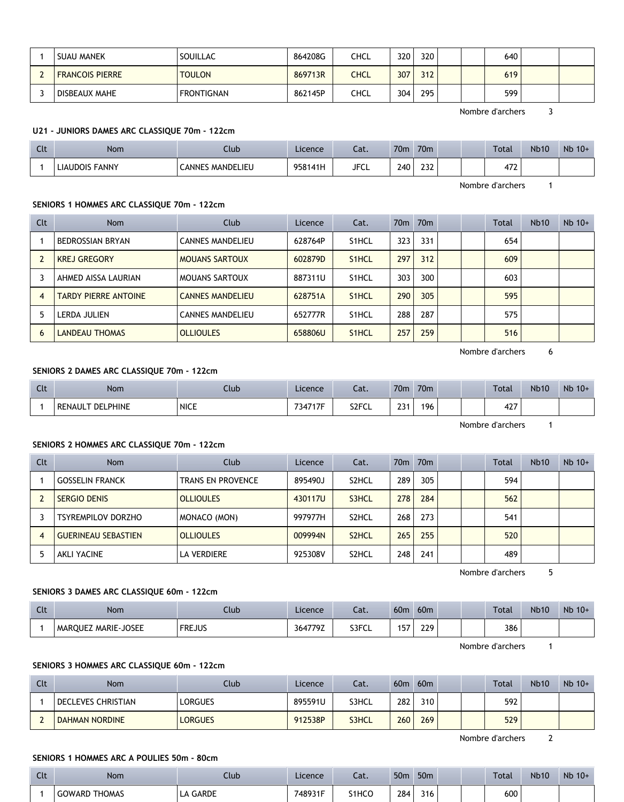| <b>SUAU MANEK</b>      | SOUILLAC      | 864208G | <b>CHCL</b> | 320 | 320 |  | 640 |  |
|------------------------|---------------|---------|-------------|-----|-----|--|-----|--|
| <b>FRANCOIS PIERRE</b> | <b>TOULON</b> | 869713R | <b>CHCL</b> | 307 | 312 |  | 619 |  |
| DISBEAUX MAHE          | FRONTIGNAN    | 862145P | <b>CHCL</b> | 304 | 295 |  | 599 |  |

Nombre d'archers 3

# **U21 - JUNIORS DAMES ARC CLASSIQUE 70m - 122cm**

| $\sim$<br>uu. | <b>Nom</b>            | Llub                    | Licence | $\sim$<br>cal. | 70 <sub>m</sub> | 70 <sub>m</sub> |  | Total     | <b>Nb10</b> | $Nb$ 10+ |
|---------------|-----------------------|-------------------------|---------|----------------|-----------------|-----------------|--|-----------|-------------|----------|
|               | <b>LIAUDOIS FANNY</b> | <b>CANNES MANDELIEU</b> | 958141H | JFCL           | 240             | ר ר<br>LJL      |  | רי<br>4/2 |             |          |

Nombre d'archers 1

#### **SENIORS 1 HOMMES ARC CLASSIQUE 70m - 122cm**

| Clt            | <b>Nom</b>                  | Club                    | Licence | Cat.               |     | 70m 70m |  | <b>Total</b> | <b>Nb10</b> | $Nb$ 10+ |
|----------------|-----------------------------|-------------------------|---------|--------------------|-----|---------|--|--------------|-------------|----------|
|                | BEDROSSIAN BRYAN            | <b>CANNES MANDELIEU</b> | 628764P | S <sub>1</sub> HCL | 323 | 331     |  | 654          |             |          |
| $\overline{2}$ | <b>KREJ GREGORY</b>         | <b>MOUANS SARTOUX</b>   | 602879D | S <sub>1</sub> HCL | 297 | 312     |  | 609          |             |          |
|                | AHMED AISSA LAURIAN         | <b>MOUANS SARTOUX</b>   | 887311U | S <sub>1</sub> HCL | 303 | 300     |  | 603          |             |          |
| 4              | <b>TARDY PIERRE ANTOINE</b> | <b>CANNES MANDELIEU</b> | 628751A | S <sub>1</sub> HCL | 290 | 305     |  | 595          |             |          |
| 5              | LERDA JULIEN                | <b>CANNES MANDELIEU</b> | 652777R | S <sub>1</sub> HCL | 288 | 287     |  | 575          |             |          |
| 6              | <b>LANDEAU THOMAS</b>       | <b>OLLIOULES</b>        | 658806U | S <sub>1</sub> HCL | 257 | 259     |  | 516          |             |          |

Nombre d'archers 6

### **SENIORS 2 DAMES ARC CLASSIQUE 70m - 122cm**

| $\sim$<br>นเ | Nom                        | Llub        | Licence | - 11<br>cal. | 70 <sub>m</sub> | 70 <sub>m</sub> |  | <b>Total</b> | <b>Nb10</b> | $Nb$ 10+ |
|--------------|----------------------------|-------------|---------|--------------|-----------------|-----------------|--|--------------|-------------|----------|
|              | <b>DELPHINE</b><br>RENAULT | <b>NICE</b> | 734717F | S2FCL        | 224<br>، رے     | 196             |  | $\sim$<br>42 |             |          |

Nombre d'archers 1

# **SENIORS 2 HOMMES ARC CLASSIQUE 70m - 122cm**

| Clt | <b>Nom</b>                 | Club              | Licence | Cat.               |     | 70 <sub>m</sub> 70 <sub>m</sub> |  | Total | <b>Nb10</b> | $Nb$ 10+ |
|-----|----------------------------|-------------------|---------|--------------------|-----|---------------------------------|--|-------|-------------|----------|
|     | <b>GOSSELIN FRANCK</b>     | TRANS EN PROVENCE | 895490J | S <sub>2</sub> HCL | 289 | 305                             |  | 594   |             |          |
|     | <b>SERGIO DENIS</b>        | <b>OLLIOULES</b>  | 430117U | S3HCL              | 278 | 284                             |  | 562   |             |          |
|     | <b>TSYREMPILOV DORZHO</b>  | MONACO (MON)      | 997977H | S <sub>2</sub> HCL | 268 | 273                             |  | 541   |             |          |
|     | <b>GUERINEAU SEBASTIEN</b> | <b>OLLIOULES</b>  | 009994N | S <sub>2</sub> HCL | 265 | 255                             |  | 520   |             |          |
|     | AKLI YACINE                | LA VERDIERE       | 925308V | S <sub>2</sub> HCL | 248 | 241                             |  | 489   |             |          |

Nombre d'archers 5

### **SENIORS 3 DAMES ARC CLASSIQUE 60m - 122cm**

| Clt | Nom                 | Club          | Licence | Cat.  | 60 <sub>m</sub> | 60 <sub>m</sub> |  | <b>Total</b> | <b>Nb10</b> | $Nb$ 10+ |
|-----|---------------------|---------------|---------|-------|-----------------|-----------------|--|--------------|-------------|----------|
|     | MAROUEZ MARIE-JOSEE | <b>FREJUS</b> | 364779Z | S3FCL | 157             | 229             |  | 386          |             |          |

Nombre d'archers 1

#### **SENIORS 3 HOMMES ARC CLASSIQUE 60m - 122cm**

| Clt | <b>Nom</b>            | Club.   | Licence | Cat.  | 60 <sub>m</sub> | 60 <sub>m</sub> |  | <b>Total</b> | <b>Nb10</b> | $Nb$ 10+ |
|-----|-----------------------|---------|---------|-------|-----------------|-----------------|--|--------------|-------------|----------|
|     | DECLEVES CHRISTIAN    | LORGUES | 895591U | S3HCL | 282             | 310             |  | 592          |             |          |
|     | <b>DAHMAN NORDINE</b> | LORGUES | 912538P | S3HCL | 260             | 269             |  | 529          |             |          |

Nombre d'archers 2

# **SENIORS 1 HOMMES ARC A POULIES 50m - 80cm**

| $\sim$<br><b>CLL</b> | <b>Nom</b>           | Llub                | Licence | .<br>.<br>cal.                 | 50 <sub>m</sub> | 50 <sub>m</sub> |  | <b>Total</b> | <b>Nb10</b> | Nb 10+ |
|----------------------|----------------------|---------------------|---------|--------------------------------|-----------------|-----------------|--|--------------|-------------|--------|
|                      | <b>GOWARD THOMAS</b> | <b>GARDE</b><br>ட்ட | 748931F | S <sub>1</sub> HC <sub>C</sub> | 284             | 316             |  | 600          |             |        |